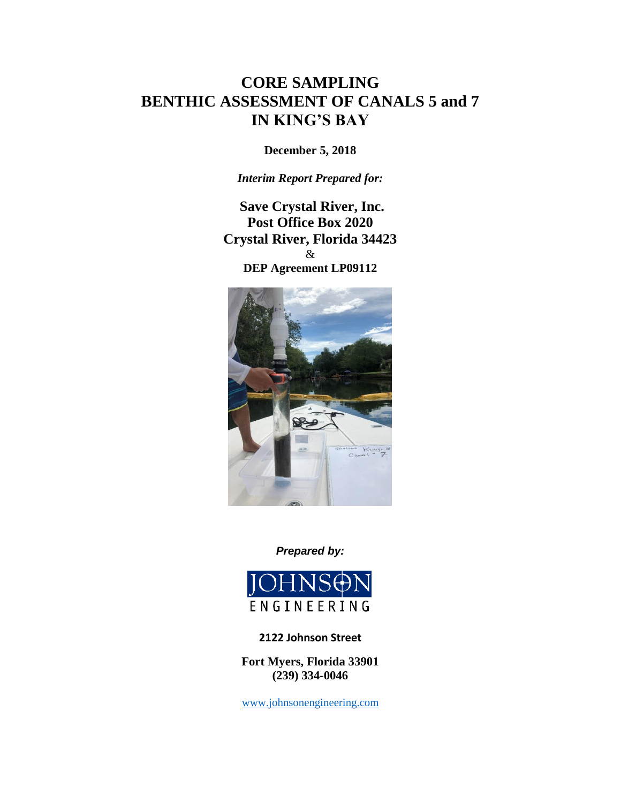# **CORE SAMPLING BENTHIC ASSESSMENT OF CANALS 5 and 7 IN KING'S BAY**

**December 5, 2018**

*Interim Report Prepared for:* 

**Save Crystal River, Inc. Post Office Box 2020 Crystal River, Florida 34423** & **DEP Agreement LP09112**



*Prepared by:* 



**2122 Johnson Street**

**Fort Myers, Florida 33901 (239) 334-0046**

[www.johnsonengineering.com](http://www.johnsonengineering.com/)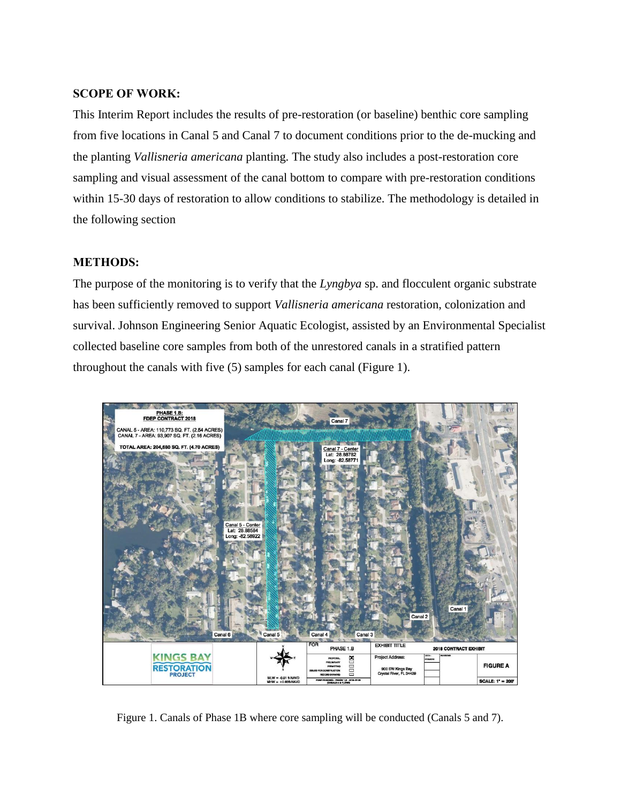# **SCOPE OF WORK:**

This Interim Report includes the results of pre-restoration (or baseline) benthic core sampling from five locations in Canal 5 and Canal 7 to document conditions prior to the de-mucking and the planting *Vallisneria americana* planting. The study also includes a post-restoration core sampling and visual assessment of the canal bottom to compare with pre-restoration conditions within 15-30 days of restoration to allow conditions to stabilize. The methodology is detailed in the following section

# **METHODS:**

The purpose of the monitoring is to verify that the *Lyngbya* sp. and flocculent organic substrate has been sufficiently removed to support *Vallisneria americana* restoration, colonization and survival. Johnson Engineering Senior Aquatic Ecologist, assisted by an Environmental Specialist collected baseline core samples from both of the unrestored canals in a stratified pattern throughout the canals with five (5) samples for each canal (Figure 1).



Figure 1. Canals of Phase 1B where core sampling will be conducted (Canals 5 and 7).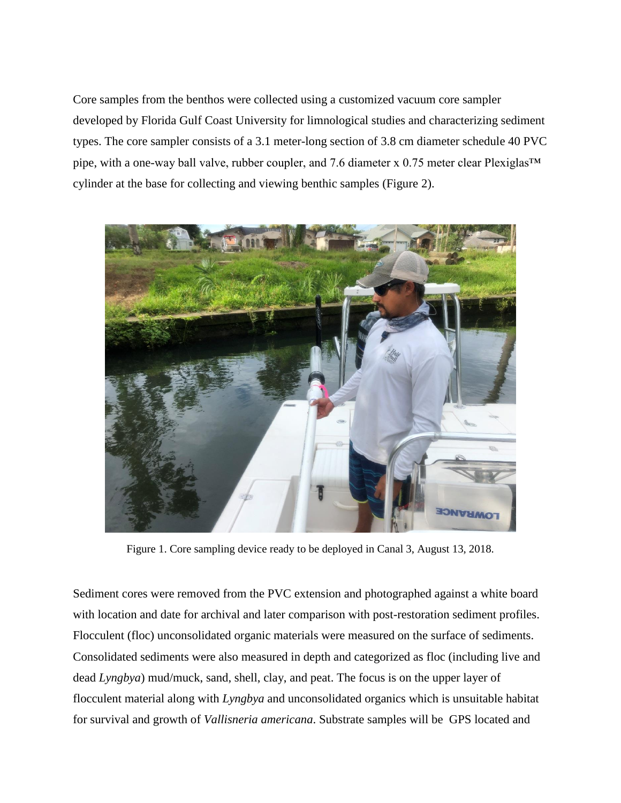Core samples from the benthos were collected using a customized vacuum core sampler developed by Florida Gulf Coast University for limnological studies and characterizing sediment types. The core sampler consists of a 3.1 meter-long section of 3.8 cm diameter schedule 40 PVC pipe, with a one-way ball valve, rubber coupler, and 7.6 diameter x 0.75 meter clear Plexiglas™ cylinder at the base for collecting and viewing benthic samples (Figure 2).



Figure 1. Core sampling device ready to be deployed in Canal 3, August 13, 2018.

Sediment cores were removed from the PVC extension and photographed against a white board with location and date for archival and later comparison with post-restoration sediment profiles. Flocculent (floc) unconsolidated organic materials were measured on the surface of sediments. Consolidated sediments were also measured in depth and categorized as floc (including live and dead *Lyngbya*) mud/muck, sand, shell, clay, and peat. The focus is on the upper layer of flocculent material along with *Lyngbya* and unconsolidated organics which is unsuitable habitat for survival and growth of *Vallisneria americana*. Substrate samples will be GPS located and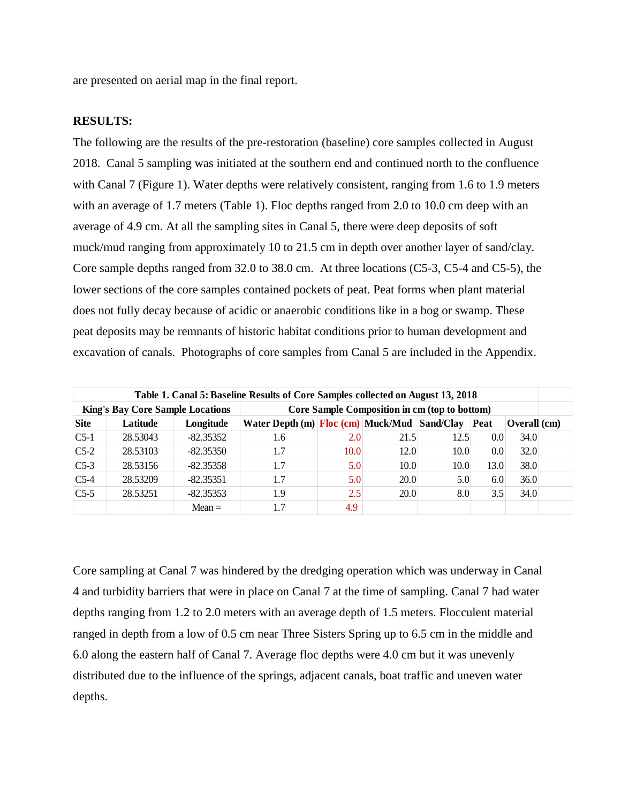are presented on aerial map in the final report.

#### **RESULTS:**

The following are the results of the pre-restoration (baseline) core samples collected in August 2018. Canal 5 sampling was initiated at the southern end and continued north to the confluence with Canal 7 (Figure 1). Water depths were relatively consistent, ranging from 1.6 to 1.9 meters with an average of 1.7 meters (Table 1). Floc depths ranged from 2.0 to 10.0 cm deep with an average of 4.9 cm. At all the sampling sites in Canal 5, there were deep deposits of soft muck/mud ranging from approximately 10 to 21.5 cm in depth over another layer of sand/clay. Core sample depths ranged from 32.0 to 38.0 cm. At three locations (C5-3, C5-4 and C5-5), the lower sections of the core samples contained pockets of peat. Peat forms when plant material does not fully decay because of acidic or anaerobic conditions like in a bog or swamp. These peat deposits may be remnants of historic habitat conditions prior to human development and excavation of canals. Photographs of core samples from Canal 5 are included in the Appendix.

| Table 1. Canal 5: Baseline Results of Core Samples collected on August 13, 2018 |          |          |             |                                                                               |      |      |      |                  |              |  |  |
|---------------------------------------------------------------------------------|----------|----------|-------------|-------------------------------------------------------------------------------|------|------|------|------------------|--------------|--|--|
| <b>King's Bay Core Sample Locations</b>                                         |          |          |             | Core Sample Composition in cm (top to bottom)                                 |      |      |      |                  |              |  |  |
| <b>Site</b>                                                                     | Latitude |          | Longitude   | Water Depth (m) $\boxed{\text{Floc (cm)}$ Muck/Mud $\boxed{\text{Sand/Clay}}$ |      |      |      | Peat             | Overall (cm) |  |  |
| $C5-1$                                                                          | 28.53043 |          | $-82.35352$ | 1.6                                                                           | 2.0  | 21.5 | 12.5 | 0.0 <sub>l</sub> | 34.0         |  |  |
| $C5-2$                                                                          | 28.53103 |          | $-82.35350$ | 1.7                                                                           | 10.0 | 12.0 | 10.0 | 0.0 <sub>l</sub> | 32.0         |  |  |
| $C5-3$                                                                          |          | 28.53156 | $-82.35358$ | 1.7                                                                           | 5.0  | 10.0 | 10.0 | 13.0             | 38.0         |  |  |
| $C$ 5-4                                                                         | 28.53209 |          | $-82.35351$ | 1.7                                                                           | 5.0  | 20.0 | 5.0  | 6.0              | 36.0         |  |  |
| $C5-5$                                                                          | 28.53251 |          | $-82.35353$ | 1.9                                                                           | 2.5  | 20.0 | 8.0  | 3.5              | 34.0         |  |  |
|                                                                                 |          |          | $Mean =$    |                                                                               | 4.9  |      |      |                  |              |  |  |

Core sampling at Canal 7 was hindered by the dredging operation which was underway in Canal 4 and turbidity barriers that were in place on Canal 7 at the time of sampling. Canal 7 had water depths ranging from 1.2 to 2.0 meters with an average depth of 1.5 meters. Flocculent material ranged in depth from a low of 0.5 cm near Three Sisters Spring up to 6.5 cm in the middle and 6.0 along the eastern half of Canal 7. Average floc depths were 4.0 cm but it was unevenly distributed due to the influence of the springs, adjacent canals, boat traffic and uneven water depths.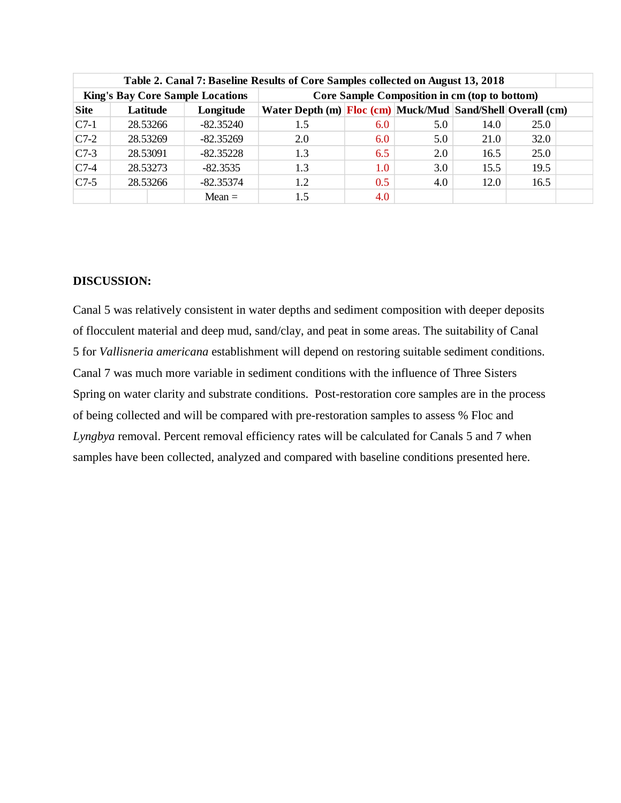| Table 2. Canal 7: Baseline Results of Core Samples collected on August 13, 2018 |          |             |                                                            |     |     |      |      |  |  |  |  |
|---------------------------------------------------------------------------------|----------|-------------|------------------------------------------------------------|-----|-----|------|------|--|--|--|--|
| <b>King's Bay Core Sample Locations</b>                                         |          |             | Core Sample Composition in cm (top to bottom)              |     |     |      |      |  |  |  |  |
| <b>Site</b>                                                                     | Latitude | Longitude   | Water Depth (m) Floc (cm) Muck/Mud Sand/Shell Overall (cm) |     |     |      |      |  |  |  |  |
| $C7-1$                                                                          | 28.53266 | $-82.35240$ | 1.5                                                        | 6.0 | 5.0 | 14.0 | 25.0 |  |  |  |  |
| $C7-2$                                                                          | 28.53269 | $-82.35269$ | 2.0                                                        | 6.0 | 5.0 | 21.0 | 32.0 |  |  |  |  |
| $C7-3$                                                                          | 28.53091 | $-82.35228$ | 1.3                                                        | 6.5 | 2.0 | 16.5 | 25.0 |  |  |  |  |
| $C$ 7-4                                                                         | 28.53273 | $-82.3535$  | 1.3                                                        | 1.0 | 3.0 | 15.5 | 19.5 |  |  |  |  |
| $C7-5$                                                                          | 28.53266 | $-82.35374$ | 1.2                                                        | 0.5 | 4.0 | 12.0 | 16.5 |  |  |  |  |
|                                                                                 |          | $Mean =$    | 1.5                                                        | 4.0 |     |      |      |  |  |  |  |

# **DISCUSSION:**

Canal 5 was relatively consistent in water depths and sediment composition with deeper deposits of flocculent material and deep mud, sand/clay, and peat in some areas. The suitability of Canal 5 for *Vallisneria americana* establishment will depend on restoring suitable sediment conditions. Canal 7 was much more variable in sediment conditions with the influence of Three Sisters Spring on water clarity and substrate conditions. Post-restoration core samples are in the process of being collected and will be compared with pre-restoration samples to assess % Floc and *Lyngbya* removal. Percent removal efficiency rates will be calculated for Canals 5 and 7 when samples have been collected, analyzed and compared with baseline conditions presented here.